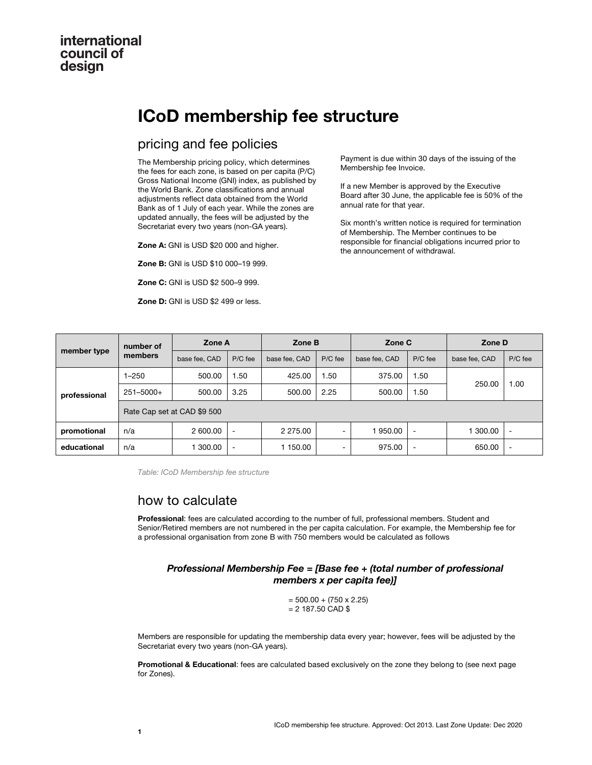## international council of design

# **ICoD membership fee structure**

# pricing and fee policies

The Membership pricing policy, which determines the fees for each zone, is based on per capita (P/C) Gross National Income (GNI) index, as published by the World Bank. Zone classifications and annual adjustments reflect data obtained from the World Bank as of 1 July of each year. While the zones are updated annually, the fees will be adjusted by the Secretariat every two years (non-GA years).

**Zone A:** GNI is USD \$20 000 and higher.

**Zone B:** GNI is USD \$10 000–19 999.

**Zone C:** GNI is USD \$2 500–9 999.

**Zone D:** GNI is USD \$2 499 or less.

Payment is due within 30 days of the issuing of the Membership fee Invoice.

If a new Member is approved by the Executive Board after 30 June, the applicable fee is 50% of the annual rate for that year.

Six month's written notice is required for termination of Membership. The Member continues to be responsible for financial obligations incurred prior to the announcement of withdrawal.

| member type  | number of<br>members        | Zone A        |                          | Zone B        |         | Zone C        |                          | Zone D        |                          |
|--------------|-----------------------------|---------------|--------------------------|---------------|---------|---------------|--------------------------|---------------|--------------------------|
|              |                             | base fee, CAD | P/C fee                  | base fee, CAD | P/C fee | base fee, CAD | $P/C$ fee                | base fee, CAD | P/C fee                  |
| professional | $1 - 250$                   | 500.00        | 1.50                     | 425.00        | 1.50    | 375.00        | 1.50                     | 250.00        | 1.00                     |
|              | $251 - 5000 +$              | 500.00        | 3.25                     | 500.00        | 2.25    | 500.00        | 1.50                     |               |                          |
|              | Rate Cap set at CAD \$9 500 |               |                          |               |         |               |                          |               |                          |
| promotional  | n/a                         | 2 600.00      | $\overline{\phantom{a}}$ | 2 275.00      | ۰       | 1950.00       | $\overline{\phantom{a}}$ | 300.00        | ٠                        |
| educational  | n/a                         | 300.00        | $\overline{\phantom{a}}$ | 1 150.00      | ۰.      | 975.00        | -                        | 650.00        | $\overline{\phantom{a}}$ |

*Table: ICoD Membership fee structure*

### how to calculate

**Professional**: fees are calculated according to the number of full, professional members. Student and Senior/Retired members are not numbered in the per capita calculation. For example, the Membership fee for a professional organisation from zone B with 750 members would be calculated as follows

#### *Professional Membership Fee = [Base fee + (total number of professional members x per capita fee)]*

 $= 500.00 + (750 \times 2.25)$  $= 2$  187.50 CAD \$

Members are responsible for updating the membership data every year; however, fees will be adjusted by the Secretariat every two years (non-GA years).

**Promotional & Educational**: fees are calculated based exclusively on the zone they belong to (see next page for Zones).